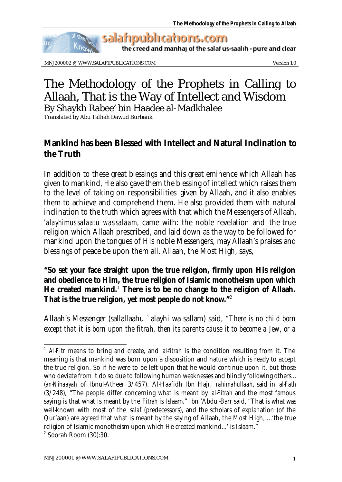

the creed and manhaj of the salaf us-saalih - pure and clear

MNJ200002 @ WWW.SALAFIPUBLICATIONS.COM Version 1.0

## The Methodology of the Prophets in Calling to Allaah, That is the Way of Intellect and Wisdom By Shaykh Rabee' bin Haadee al-Madkhalee

Translated by Abu Talhah Dawud Burbank

## **Mankind has been Blessed with Intellect and Natural Inclination to the Truth**

In addition to these great blessings and this great eminence which Allaah has given to mankind, He also gave them the blessing of intellect which raises them to the level of taking on responsibilities given by Allaah, and it also enables them to achieve and comprehend them. He also provided them with natural inclination to the truth which agrees with that which the Messengers of Allaah, *'alayhimus-salaatu was-salaam,* came with: the noble revelation and the true religion which Allaah prescribed, and laid down as the way to be followed for mankind upon the tongues of His noble Messengers, may Allaah's praises and blessings of peace be upon them all. Allaah, the Most High, says,

## **"So set your face straight upon the true religion, firmly upon His religion and obedience to Him, the true religion of Islamic monotheism upon which He created mankind.**<sup>1</sup>  **There is to be no change to the religion of Allaah. That is the true religion, yet most people do not know."**<sup>2</sup>

Allaah's Messenger (sallallaahu `alayhi wa sallam) said, *"There is no child born except that it is born upon the fitrah, then its parents cause it to become a Jew, or a* 

<sup>&</sup>lt;sup>1</sup> *Al-Fitr* means to bring and create, and *al-fitrah* is the condition resulting from it. The meaning is that mankind was born upon a disposition and nature which is ready to accept the true religion. So if he were to be left upon that he would continue upon it, but those who deviate from it do so due to following human weaknesses and blindly following others... (*an-Nihaayah* of Ibnul-Atheer 3/457). Al-Haafidh Ibn Hajr, *rahimahullaah*, said in *al-Fath* (3/248), "The people differ concerning what is meant by *al-Fitrah* and the most famous saying is that what is meant by the *Fitrah* is Islaam." Ibn 'Abdul-Barr said, "That is what was well-known with most of the *salaf* (predecessors), and the scholars of explanation (of the Qur'aan) are agreed that what is meant by the saying of Allaah, the Most High, ...'the true religion of Islamic monotheism upon which He created mankind...' is Islaam."

<sup>2</sup> Soorah Room (30):30.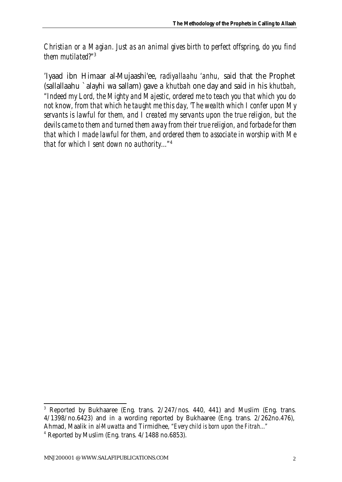*Christian or a Magian. Just as an animal gives birth to perfect offspring, do you find them mutilated?"*<sup>3</sup>

'Iyaad ibn Himaar al-Mujaashi'ee, *radiyallaahu 'anhu,* said that the Prophet (sallallaahu `alayhi wa sallam) gave a *khutbah* one day and said in his *khutbah*, *"Indeed my Lord, the Mighty and Majestic, ordered me to teach you that which you do not know, from that which he taught me this day, 'The wealth which I confer upon My servants is lawful for them, and I created my servants upon the true religion, but the devils came to them and turned them away from their true religion, and forbade for them that which I made lawful for them, and ordered them to associate in worship with Me that for which I sent down no authority..."*<sup>4</sup>

<sup>&</sup>lt;sup>3</sup> Reported by Bukhaaree (Eng. trans. 2/247/nos. 440, 441) and Muslim (Eng. trans. 4/1398/no.6423) and in a wording reported by Bukhaaree (Eng. trans. 2/262no.476), Ahmad, Maalik in *al-Muwatta* and Tirmidhee, *"Every child is born upon the Fitrah..."*

<sup>4</sup> Reported by Muslim (Eng. trans. 4/1488 no.6853).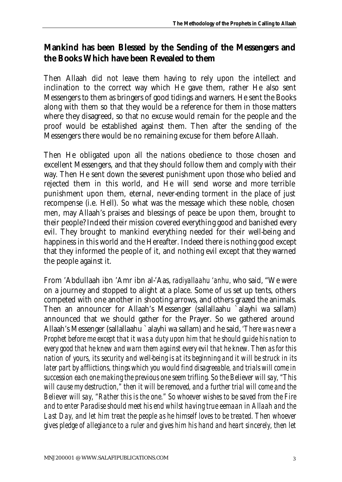## **Mankind has been Blessed by the Sending of the Messengers and the Books Which have been Revealed to them**

Then Allaah did not leave them having to rely upon the intellect and inclination to the correct way which He gave them, rather He also sent Messengers to them as bringers of good tidings and warners. He sent the Books along with them so that they would be a reference for them in those matters where they disagreed, so that no excuse would remain for the people and the proof would be established against them. Then after the sending of the Messengers there would be no remaining excuse for them before Allaah.

Then He obligated upon all the nations obedience to those chosen and excellent Messengers, and that they should follow them and comply with their way. Then He sent down the severest punishment upon those who belied and rejected them in this world, and He will send worse and more terrible punishment upon them, eternal, never-ending torment in the place of just recompense (i.e. Hell). So what was the message which these noble, chosen men, may Allaah's praises and blessings of peace be upon them, brought to their people? Indeed their mission covered everything good and banished every evil. They brought to mankind everything needed for their well-being and happiness in this world and the Hereafter. Indeed there is nothing good except that they informed the people of it, and nothing evil except that they warned the people against it.

From 'Abdullaah ibn 'Amr ibn al-'Aas, *radiyallaahu 'anhu,* who said, "We were on a journey and stopped to alight at a place. Some of us set up tents, others competed with one another in shooting arrows, and others grazed the animals. Then an announcer for Allaah's Messenger (sallallaahu `alayhi wa sallam) announced that we should gather for the Prayer. So we gathered around Allaah's Messenger (sallallaahu `alayhi wa sallam) and he said, *'There was never a Prophet before me except that it was a duty upon him that he should guide his nation to every good that he knew and warn them against every evil that he knew. Then as for this nation of yours, its security and well-being is at its beginning and it will be struck in its later part by afflictions, things which you would find disagreeable, and trials will come in succession each one making the previous one seem trifling. So the Believer will say, "This will cause my destruction," then it will be removed, and a further trial will come and the Believer will say, "Rather this is the one." So whoever wishes to be saved from the Fire and to enter Paradise should meet his end whilst having true eemaan in Allaah and the Last Day, and let him treat the people as he himself loves to be treated. Then whoever gives pledge of allegiance to a ruler and gives him his hand and heart sincerely, then let*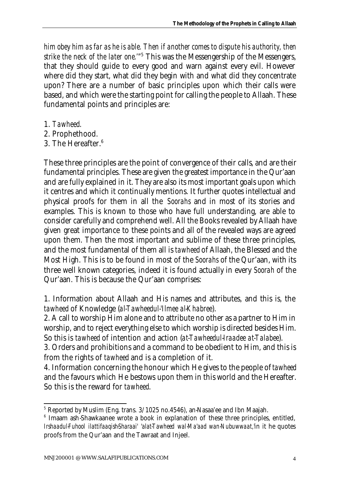*him obey him as far as he is able. Then if another comes to dispute his authority, then strike the neck of the later one.'"*<sup>5</sup> This was the Messengership of the Messengers, that they should guide to every good and warn against every evil. However where did they start, what did they begin with and what did they concentrate upon? There are a number of basic principles upon which their calls were based, and which were the starting point for calling the people to Allaah. These fundamental points and principles are:

- 1. *Tawheed*.
- 2. Prophethood.
- 3. The Hereafter.<sup>6</sup>

These three principles are the point of convergence of their calls, and are their fundamental principles. These are given the greatest importance in the Qur'aan and are fully explained in it. They are also its most important goals upon which it centres and which it continually mentions. It further quotes intellectual and physical proofs for them in all the *Soorahs* and in most of its stories and examples. This is known to those who have full understanding, are able to consider carefully and comprehend well. All the Books revealed by Allaah have given great importance to these points and all of the revealed ways are agreed upon them. Then the most important and sublime of these three principles, and the most fundamental of them all is *tawheed* of Allaah, the Blessed and the Most High. This is to be found in most of the *Soorahs* of the Qur'aan, with its three well known categories, indeed it is found actually in every *Soorah* of the Qur'aan. This is because the Qur'aan comprises:

1. Information about Allaah and His names and attributes, and this is, the *tawheed* of Knowledge (*al-Tawheedul-'Ilmee al-Khabree*).

2. A call to worship Him alone and to attribute no other as a partner to Him in worship, and to reject everything else to which worship is directed besides Him. So this is *tawheed* of intention and action (*at-Tawheedul-Iraadee at-Talabee*).

3. Orders and prohibitions and a command to be obedient to Him, and this is from the rights of *tawheed* and is a completion of it.

4. Information concerning the honour which He gives to the people of *tawheed* and the favours which He bestows upon them in this world and the Hereafter. So this is the reward for *tawheed*.

<sup>5</sup> Reported by Muslim (Eng. trans. 3/1025 no.4546), an-Nasaa'ee and Ibn Maajah.

<sup>&</sup>lt;sup>6</sup> Imaam ash-Shawkaanee wrote a book in explanation of these three principles, entitled, *Irshaadul-Fuhool ilattifaaqish-Sharaai' 'alat-Tawheed wal-Ma'aad wan-Nubuwwaat,'*in it he quotes proofs from the Qur'aan and the Tawraat and Injeel.